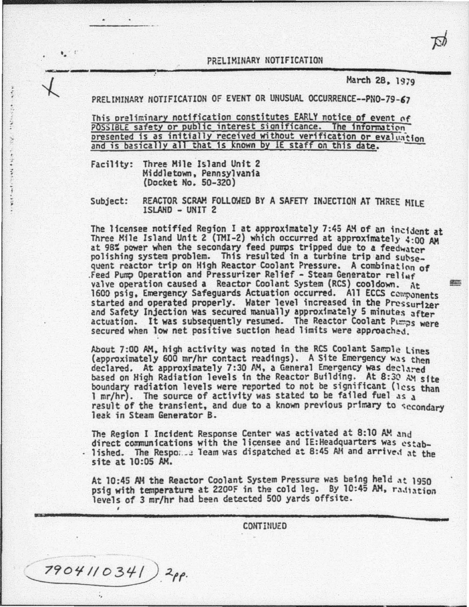PRELIMINARY NOTIFICATION

~-------------~:--------------------------------~-------------- March 28, 1919 .. PRELUtiHAAY ttOTIFICATION OF EVENT OR UNUSUAL OCCURRENCE--PN0-79-,7

This oreliminary notification constitutes EARLY notice of event of POSSIBLE safety or public interest significance. The information presented is as initially received without verification or evaluation and is basically all that is known by IE staff on this date.

Facility: Three Mile Island Unit 2 Middletown, Pennsylvania (Docket No. 50-320)

. ,

 $\bullet$  .

 $\mathbf{e}$ 

Subject: REACTOR SCRAM FOLLOWED BY A SAFETY INJECTION AT THREE MILF lSLAHD - UNIT 2

The licensee notified Region I at approximately 7:45 AM of an incident at Three Mile Island Unit 2 (TMI-2) which occurred at approximately  $4:00$  AM at 98% power when the secondary feed pumps tripped due to a feedwater polishing system problem. This resulted in a turbine trip and subsequent reactor trip on High Reactor Coolant Pressure. A combination of .Feed Pump Operation and Pressurizer Relief - Steam Generator relief valve operation caused a Reactor Coolant System (RCS) cooldown. At  $=$ 1600 psig, Emergency Safeguards Actuation occurred. All ECCS components started and operated properly. Water level increased in the Pressurizer and Safety Injection was secured manually approximately 5 minutes after actuation. It was subsequently resumed. The Reactor Coolant Pumps were secured when low net positive suction head limits were approached.

About 7:00 AM. high activity was noted in the RCS Coolant Sample Lines (approximately 600 mr/hr contact readings). A Site Emergency was then declared. At approximately 7:30 AM, a General Emergency was declared based on High Radiation levels in the Reactor Building. At 8:30 AM site boundary radiation levels were reported to not be significant (less than 1 mr/hr). The source of activity was stated to be failed fuel as  $a$ result of the transient, and due to a known previous primary to secondary leak in Steam Generator B.

The Region I Incident Response Center was activated at 8:10 AM and direct communications with the licensee and IE: Headquarters was estab-. lished. The Respo. .: leam was dispatched at 8:45 AM and arrived at the site at 10:05 AM.

At 10:45 AM the Reactor Coolant System Pressure was being held at 1950 psig with temperature at 2200F in the cold leg. By 10:45 AM, radiation levels of *3* mr/hr had been detected 500 yards offsite.

**CONTINUED** 

7904110341)<sup>2</sup>pp.

..